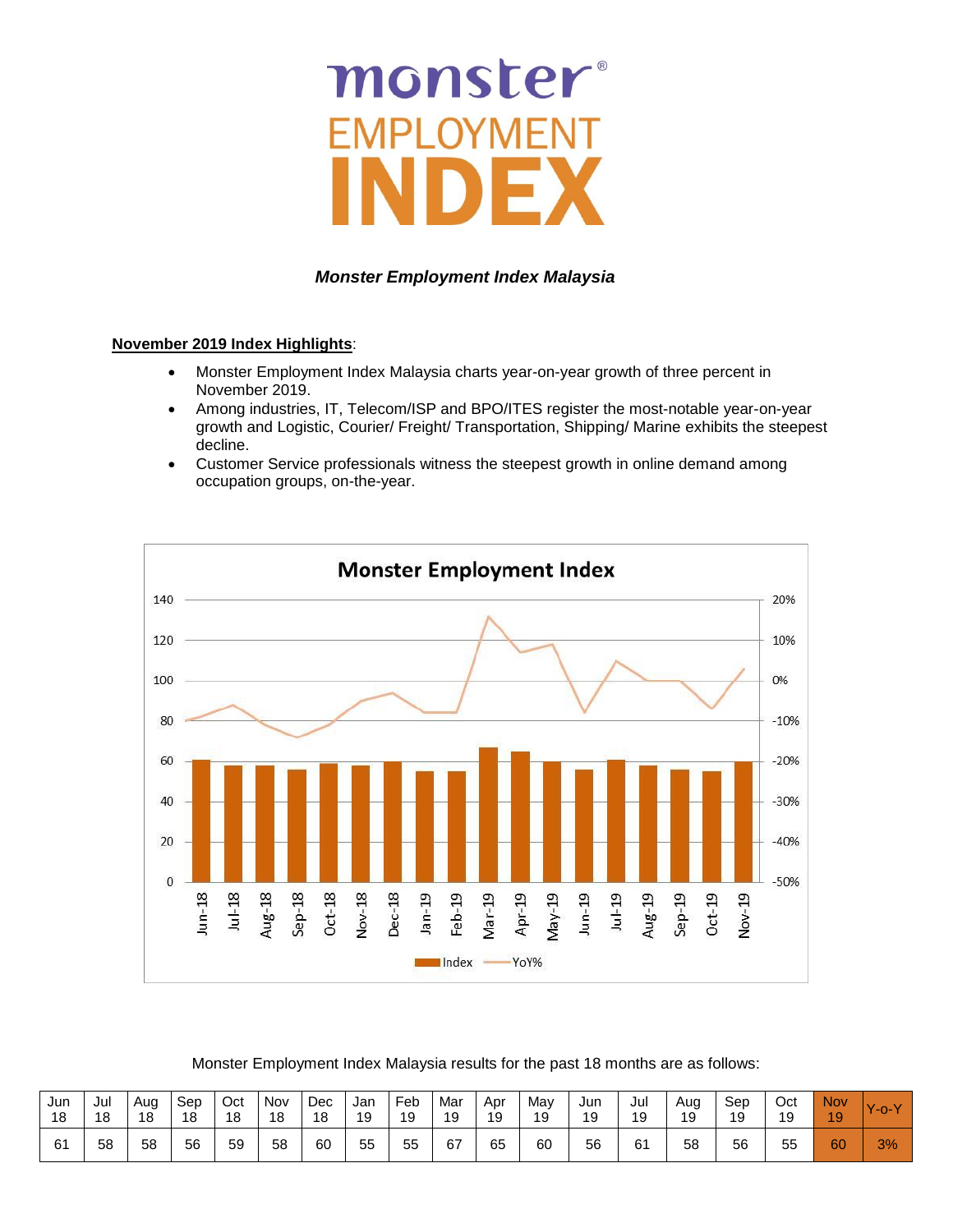# monster

# *Monster Employment Index Malaysia*

### **November 2019 Index Highlights**:

- Monster Employment Index Malaysia charts year-on-year growth of three percent in November 2019.
- Among industries, IT, Telecom/ISP and BPO/ITES register the most-notable year-on-year growth and Logistic, Courier/ Freight/ Transportation, Shipping/ Marine exhibits the steepest decline.
- Customer Service professionals witness the steepest growth in online demand among occupation groups, on-the-year.



Monster Employment Index Malaysia results for the past 18 months are as follows:

| Jun | Jul | Aug | Sep | Oct | Nov | Dec | Jan | Feb | Mar | Apr | Mav | Jun | Jul | Aug | Sep | Oct | Nov | $Y$ -o-Y |
|-----|-----|-----|-----|-----|-----|-----|-----|-----|-----|-----|-----|-----|-----|-----|-----|-----|-----|----------|
| 18  | 18  | 18  | 18  | 18  | 18  | 18  | 19  | 19  | 19  | 19  | 19  | 19  | 19  | 19  | 19  | 19  | 19  |          |
| 61  | 58  | 58  | 56  | 59  | 58  | 60  | 55  | 55  | 67  | 65  | 60  | 56  | 61  | 58  | 56  | 55  | 60  | 3%       |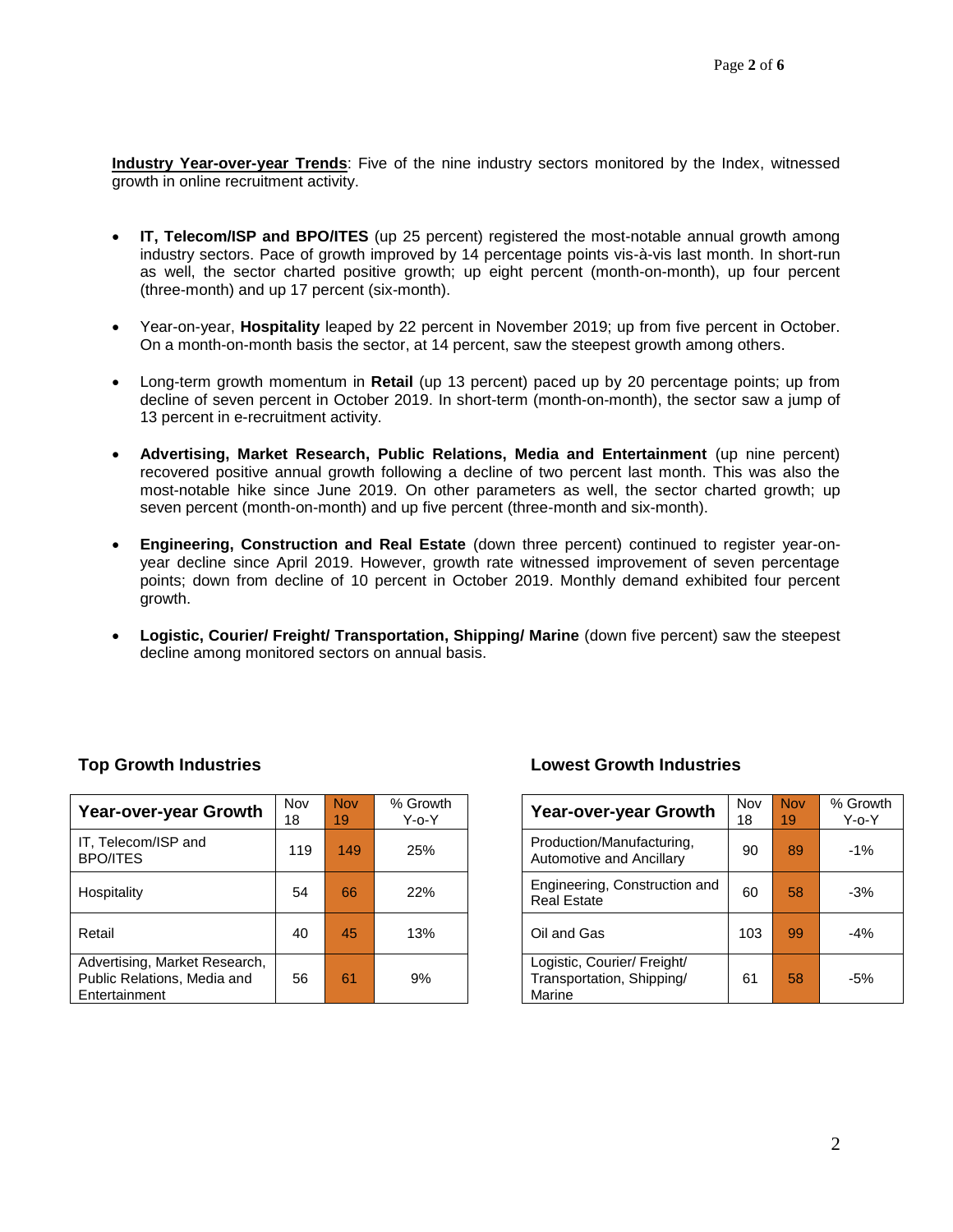**Industry Year-over-year Trends**: Five of the nine industry sectors monitored by the Index, witnessed growth in online recruitment activity.

- **IT, Telecom/ISP and BPO/ITES** (up 25 percent) registered the most-notable annual growth among industry sectors. Pace of growth improved by 14 percentage points vis-à-vis last month. In short-run as well, the sector charted positive growth; up eight percent (month-on-month), up four percent (three-month) and up 17 percent (six-month).
- Year-on-year, **Hospitality** leaped by 22 percent in November 2019; up from five percent in October. On a month-on-month basis the sector, at 14 percent, saw the steepest growth among others.
- Long-term growth momentum in **Retail** (up 13 percent) paced up by 20 percentage points; up from decline of seven percent in October 2019. In short-term (month-on-month), the sector saw a jump of 13 percent in e-recruitment activity.
- **Advertising, Market Research, Public Relations, Media and Entertainment** (up nine percent) recovered positive annual growth following a decline of two percent last month. This was also the most-notable hike since June 2019. On other parameters as well, the sector charted growth; up seven percent (month-on-month) and up five percent (three-month and six-month).
- **Engineering, Construction and Real Estate** (down three percent) continued to register year-onyear decline since April 2019. However, growth rate witnessed improvement of seven percentage points; down from decline of 10 percent in October 2019. Monthly demand exhibited four percent growth.
- **Logistic, Courier/ Freight/ Transportation, Shipping/ Marine** (down five percent) saw the steepest decline among monitored sectors on annual basis.

| Year-over-year Growth                                                         | Nov<br>18 | <b>Nov</b><br>19 | % Growth<br>$Y$ -o- $Y$ | Year-over-year Growth                                              | Nov<br>18 | <b>Nov</b><br>19 | % Grov<br>Y-o-` |
|-------------------------------------------------------------------------------|-----------|------------------|-------------------------|--------------------------------------------------------------------|-----------|------------------|-----------------|
| IT, Telecom/ISP and<br><b>BPO/ITES</b>                                        | 119       | 149              | 25%                     | Production/Manufacturing,<br>Automotive and Ancillary              | 90        | 89               | $-1%$           |
| Hospitality                                                                   | 54        | 66               | 22%                     | Engineering, Construction and<br><b>Real Estate</b>                | 60        | 58               | $-3%$           |
| Retail                                                                        | 40        | 45               | 13%                     | Oil and Gas                                                        | 103       | 99               | $-4%$           |
| Advertising, Market Research,<br>Public Relations, Media and<br>Entertainment | 56        | 61               | 9%                      | Logistic, Courier/ Freight/<br>Transportation, Shipping/<br>Marine | 61        | 58               | $-5%$           |

# **Top Growth Industries Lowest Growth Industries**

| <b>Year-over-year Growth</b>                                       | Nov<br>18 | <b>Nov</b><br>19 | % Growth<br>$Y$ -o- $Y$ |
|--------------------------------------------------------------------|-----------|------------------|-------------------------|
| Production/Manufacturing,<br>Automotive and Ancillary              | 90        | 89               | $-1%$                   |
| Engineering, Construction and<br><b>Real Estate</b>                | 60        | 58               | $-3%$                   |
| Oil and Gas                                                        | 103       | 99               | $-4%$                   |
| Logistic, Courier/ Freight/<br>Transportation, Shipping/<br>Marine | 61        | 58               | $-5%$                   |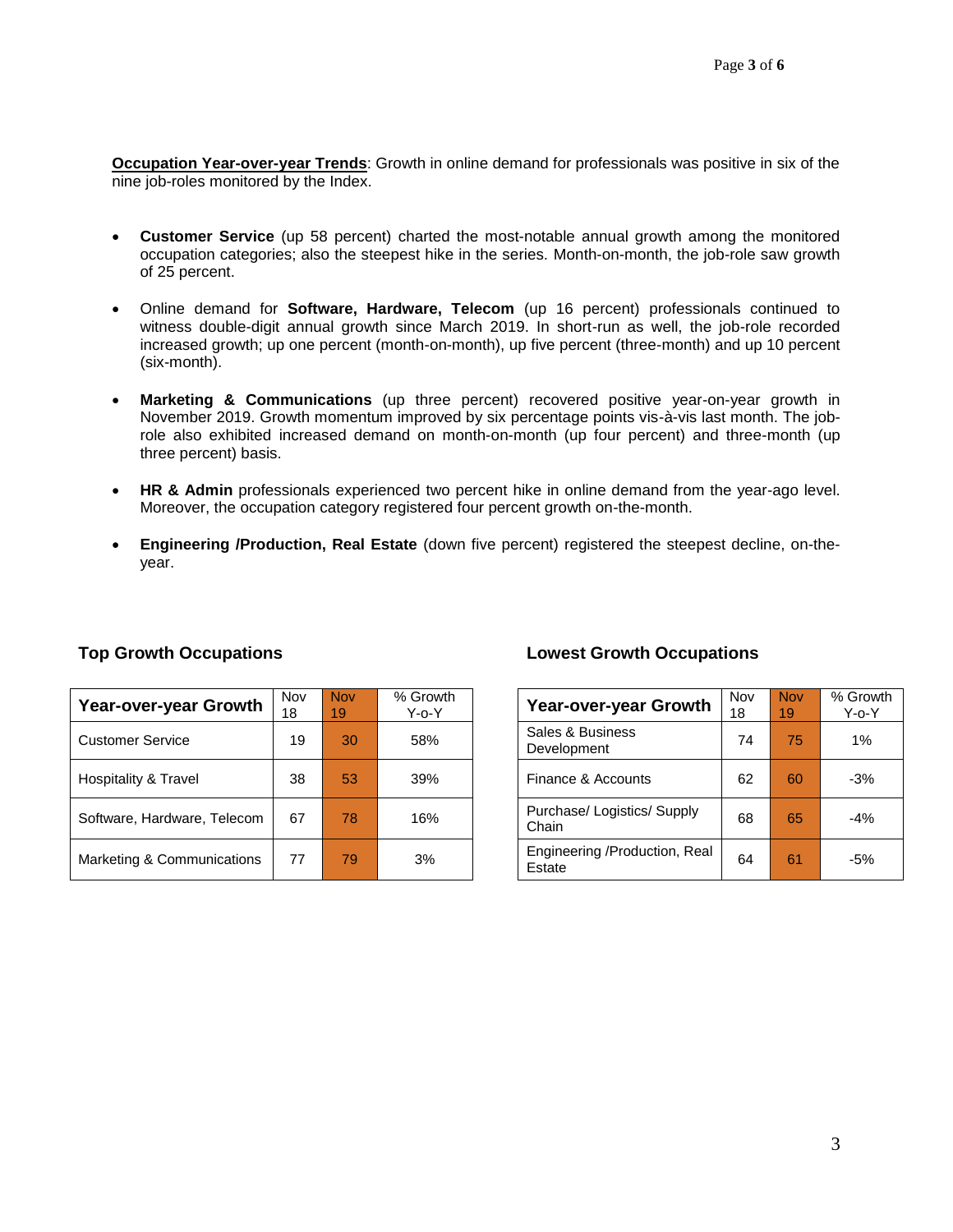**Occupation Year-over-year Trends**: Growth in online demand for professionals was positive in six of the nine job-roles monitored by the Index.

- **Customer Service** (up 58 percent) charted the most-notable annual growth among the monitored occupation categories; also the steepest hike in the series. Month-on-month, the job-role saw growth of 25 percent.
- Online demand for **Software, Hardware, Telecom** (up 16 percent) professionals continued to witness double-digit annual growth since March 2019. In short-run as well, the job-role recorded increased growth; up one percent (month-on-month), up five percent (three-month) and up 10 percent (six-month).
- **Marketing & Communications** (up three percent) recovered positive year-on-year growth in November 2019. Growth momentum improved by six percentage points vis-à-vis last month. The jobrole also exhibited increased demand on month-on-month (up four percent) and three-month (up three percent) basis.
- **HR & Admin** professionals experienced two percent hike in online demand from the year-ago level. Moreover, the occupation category registered four percent growth on-the-month.
- **Engineering /Production, Real Estate** (down five percent) registered the steepest decline, on-theyear.

| Year-over-year Growth       | Nov<br>18 | <b>Nov</b><br>19 | % Growth<br>Y-o-Y | Year-over-year Growth                   | Nov<br>18 | <b>Nov</b><br>19 <sup>°</sup> | $%$ Gro<br>$Y$ -0- $'$ |
|-----------------------------|-----------|------------------|-------------------|-----------------------------------------|-----------|-------------------------------|------------------------|
| <b>Customer Service</b>     | 19        | 30               | 58%               | Sales & Business<br>Development         | 74        | 75                            | 1%                     |
| Hospitality & Travel        | 38        | 53 <sub>l</sub>  | 39%               | Finance & Accounts                      | 62        | 60                            | $-3%$                  |
| Software, Hardware, Telecom | 67        | 78               | 16%               | Purchase/ Logistics/ Supply<br>Chain    | 68        | 65                            | $-4%$                  |
| Marketing & Communications  | 77        | 79               | 3%                | Engineering /Production, Real<br>Estate | 64        | 61                            | $-5%$                  |

# **Top Growth Occupations Lowest Growth Occupations**

| <b>Year-over-year Growth</b>            | Nov<br>18 | <b>Nov</b><br>19 | % Growth<br>Y-o-Y |
|-----------------------------------------|-----------|------------------|-------------------|
| Sales & Business<br>Development         | 74        | 75               | $1\%$             |
| Finance & Accounts                      | 62        | 60               | $-3%$             |
| Purchase/Logistics/Supply<br>Chain      | 68        | 65               | $-4%$             |
| Engineering /Production, Real<br>Estate | 64        | 61               | $-5%$             |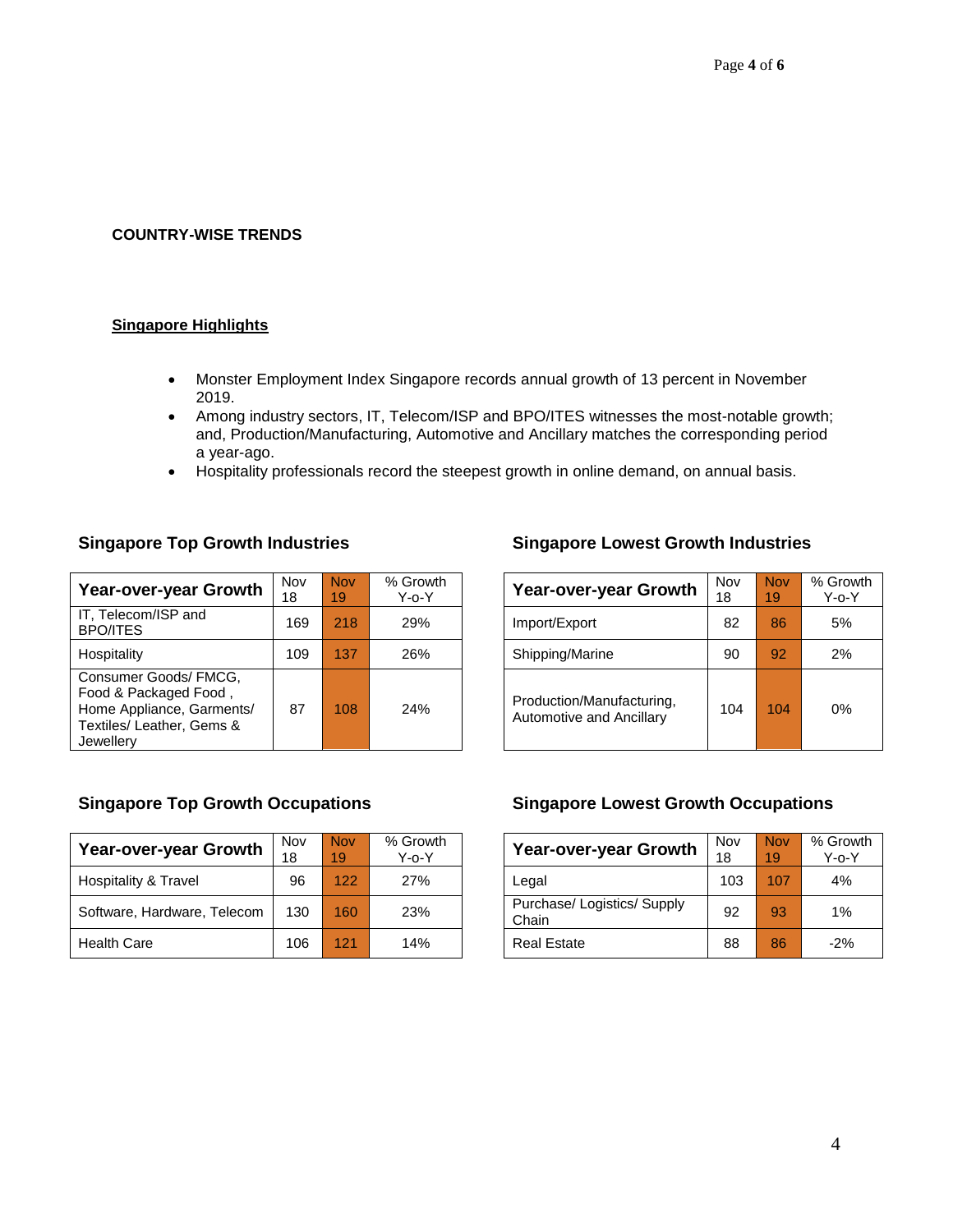### **COUNTRY-WISE TRENDS**

### **Singapore Highlights**

- Monster Employment Index Singapore records annual growth of 13 percent in November 2019.
- Among industry sectors, IT, Telecom/ISP and BPO/ITES witnesses the most-notable growth; and, Production/Manufacturing, Automotive and Ancillary matches the corresponding period a year-ago.
- Hospitality professionals record the steepest growth in online demand, on annual basis.

| Year-over-year Growth                                                                                                 | Nov<br>18 | <b>Nov</b><br>19 | % Growth<br>$Y$ -o- $Y$ | Year-over-year Growth                                 | Nov<br>18 | <b>Nov</b><br>19 | % Gro<br>Y-0- |
|-----------------------------------------------------------------------------------------------------------------------|-----------|------------------|-------------------------|-------------------------------------------------------|-----------|------------------|---------------|
| IT, Telecom/ISP and<br><b>BPO/ITES</b>                                                                                | 169       | 218              | 29%                     | Import/Export                                         | 82        | 86               | 5%            |
| Hospitality                                                                                                           | 109       | 137              | 26%                     | Shipping/Marine                                       | 90        | 92               | 2%            |
| Consumer Goods/ FMCG,<br>Food & Packaged Food,<br>Home Appliance, Garments/<br>Textiles/ Leather, Gems &<br>Jewellerv | 87        | 108              | 24%                     | Production/Manufacturing,<br>Automotive and Ancillary | 104       | 104              | 0%            |

# **Singapore Top Growth Industries Singapore Lowest Growth Industries**

| Year-over-year Growth                                 | Nov<br>18 | <b>Nov</b><br>19 | % Growth<br>Y-o-Y |
|-------------------------------------------------------|-----------|------------------|-------------------|
| Import/Export                                         | 82        | 86               | 5%                |
| Shipping/Marine                                       | 90        | 92               | 2%                |
| Production/Manufacturing.<br>Automotive and Ancillary | 104       | 104              | 0%                |

| <b>Year-over-year Growth</b> | Nov<br>18 | <b>Nov</b><br>19 | % Growth<br>Y-o-Y | <b>Year-over-year Growth</b>       | Nov<br>18 | <b>Nov</b><br>19 | % Grov<br>Y-o-` |
|------------------------------|-----------|------------------|-------------------|------------------------------------|-----------|------------------|-----------------|
| Hospitality & Travel         | 96        | 122              | 27%               | Legal                              | 103       | 107              | 4%              |
| Software, Hardware, Telecom  | 130       | 160              | 23%               | Purchase/Logistics/Supply<br>Chain | 92        | 93               | 1%              |
| <b>Health Care</b>           | 106       | 121              | 14%               | <b>Real Estate</b>                 | 88        | 86               | $-2%$           |

### **Singapore Top Growth Occupations Singapore Lowest Growth Occupations**

| <b>Year-over-year Growth</b>         | Nov<br>18 | <b>Nov</b><br>19 | % Growth<br>Y-o-Y |
|--------------------------------------|-----------|------------------|-------------------|
| Legal                                | 103       | 107              | 4%                |
| Purchase/ Logistics/ Supply<br>Chain | 92        | 93               | 1%                |
| <b>Real Estate</b>                   | 88        | 86               | $-2%$             |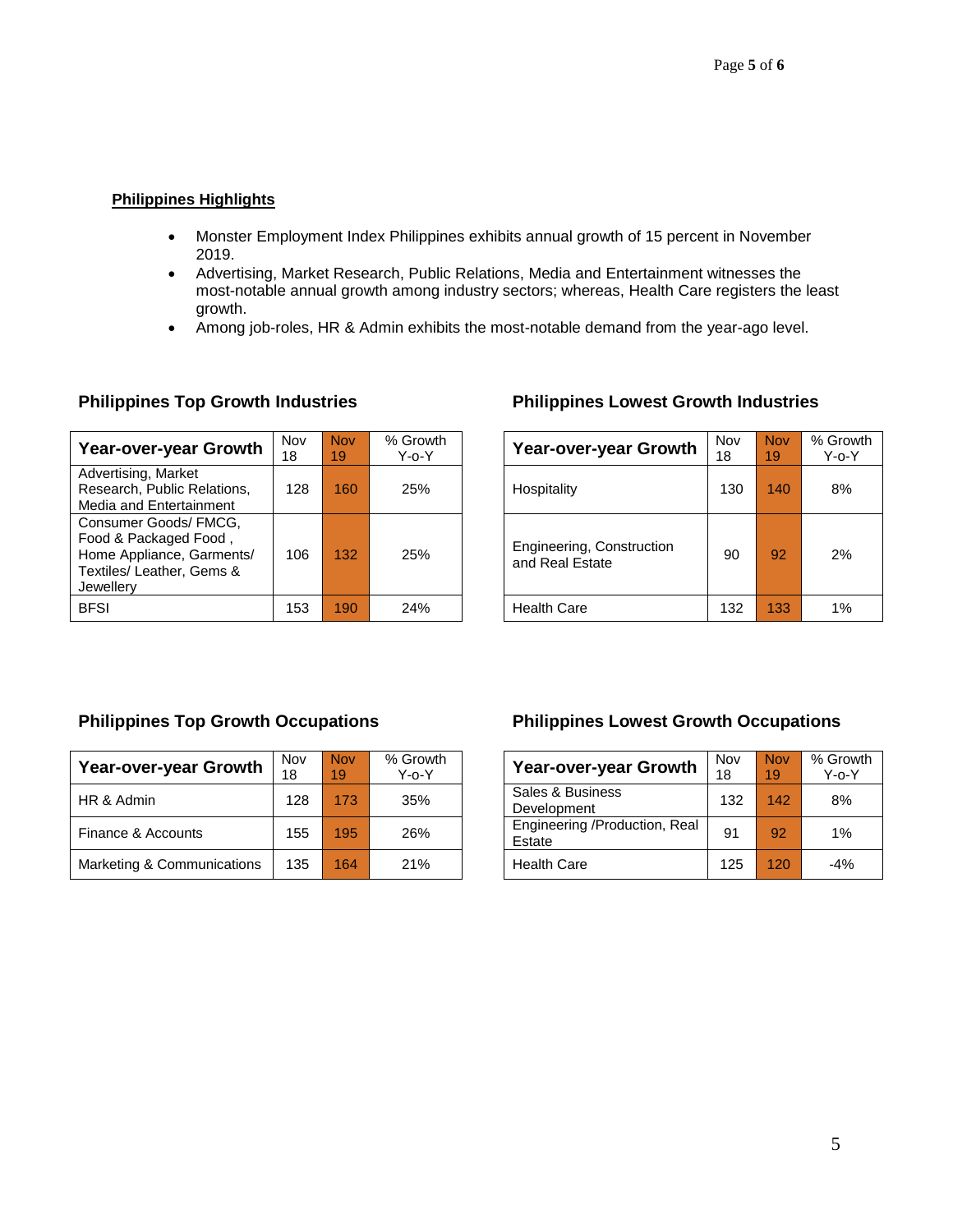# **Philippines Highlights**

- Monster Employment Index Philippines exhibits annual growth of 15 percent in November 2019.
- Advertising, Market Research, Public Relations, Media and Entertainment witnesses the most-notable annual growth among industry sectors; whereas, Health Care registers the least growth.
- Among job-roles, HR & Admin exhibits the most-notable demand from the year-ago level.

| Year-over-year Growth                                                                                                 | Nov<br>18 | <b>Nov</b><br>19 | % Growth<br>$Y$ -o- $Y$ | <b>Year-over-year Growth</b>                 | Nov<br>18 | <b>Nov</b><br>19 | % Gro<br>Y-0- |
|-----------------------------------------------------------------------------------------------------------------------|-----------|------------------|-------------------------|----------------------------------------------|-----------|------------------|---------------|
| Advertising, Market<br>Research, Public Relations,<br>Media and Entertainment                                         | 128       | 160              | 25%                     | Hospitality                                  | 130       | 140              | 8%            |
| Consumer Goods/ FMCG,<br>Food & Packaged Food,<br>Home Appliance, Garments/<br>Textiles/ Leather, Gems &<br>Jewellerv | 106       | 132              | 25%                     | Engineering, Construction<br>and Real Estate | 90        | 92               | 2%            |
| <b>BFSI</b>                                                                                                           | 153       | 190              | 24%                     | <b>Health Care</b>                           | 132       | 133              | 1%            |

# **Philippines Top Growth Industries Philippines Lowest Growth Industries**

| ٧o۷<br>8 | <b>Nov</b><br>19 | % Growth<br>$Y$ -o- $Y$ | <b>Year-over-year Growth</b>                 | Nov<br>18 | <b>Nov</b><br>19 | % Growth<br>$Y$ -o- $Y$ |
|----------|------------------|-------------------------|----------------------------------------------|-----------|------------------|-------------------------|
| 128      | 160              | 25%                     | Hospitality                                  | 130       | 140              | 8%                      |
| 106      | 132              | 25%                     | Engineering, Construction<br>and Real Estate | 90        | 92               | 2%                      |
| 153      | 190              | 24%                     | <b>Health Care</b>                           | 132       | 133              | 1%                      |

| Year-over-year Growth      | Nov<br>18 | <b>Nov</b><br>19 | % Growth<br>Y-o-Y | Year-over-year Growth                   | Nov<br>18 | <b>Nov</b><br>19 | % Grov<br>ר-^-Y |
|----------------------------|-----------|------------------|-------------------|-----------------------------------------|-----------|------------------|-----------------|
| HR & Admin                 | 128       | 173              | 35%               | Sales & Business<br>Development         | 132       | 142              | 8%              |
| Finance & Accounts         | 155       | 195              | 26%               | Engineering /Production, Real<br>Estate | 91        | 92               | 1%              |
| Marketing & Communications | 135       | 164              | 21%               | <b>Health Care</b>                      | 125       | 120              | $-4%$           |

# **Philippines Top Growth Occupations Philippines Lowest Growth Occupations**

| Year-over-year Growth                   | Nov<br>18 | <b>Nov</b><br>19 | % Growth<br>$Y$ -o- $Y$ |
|-----------------------------------------|-----------|------------------|-------------------------|
| Sales & Business<br>Development         | 132       | 142              | 8%                      |
| Engineering /Production, Real<br>Estate | 91        | 92               | 1%                      |
| <b>Health Care</b>                      | 125       | 120              | $-4%$                   |